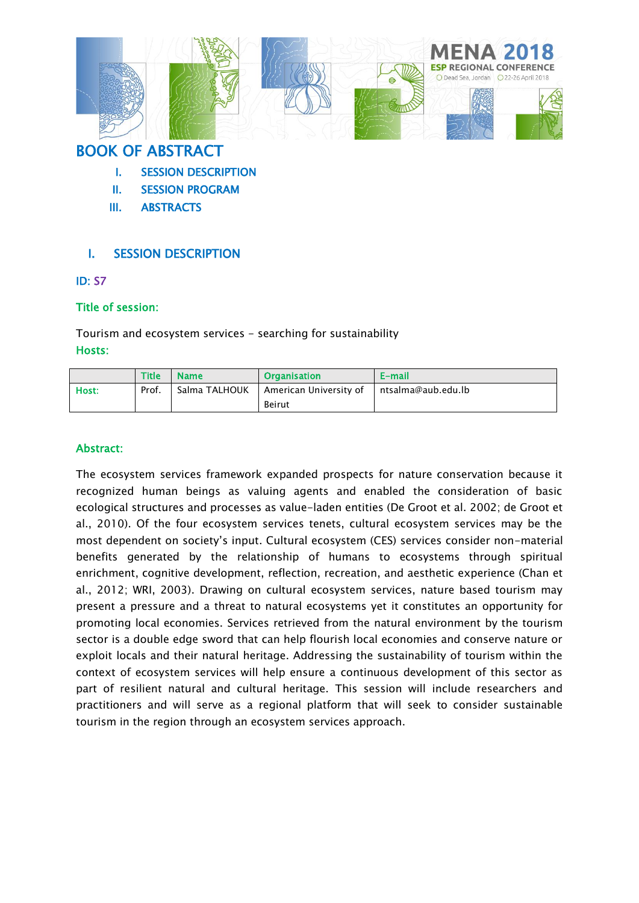

# BOOK OF ABSTRACT

- I. SESSION DESCRIPTION
- II. SESSION PROGRAM
- III. ABSTRACTS

## I. SESSION DESCRIPTION

### ID: S7

### Title of session:

Tourism and ecosystem services - searching for sustainability Hosts:

|       | <b>Title</b> | <b>Name</b>   | <b>Organisation</b>    | E-mail             |
|-------|--------------|---------------|------------------------|--------------------|
| Host: | Prof.        | Salma TALHOUK | American University of | ntsalma@aub.edu.lb |
|       |              |               | <b>Beirut</b>          |                    |

## Abstract:

The ecosystem services framework expanded prospects for nature conservation because it recognized human beings as valuing agents and enabled the consideration of basic ecological structures and processes as value-laden entities (De Groot et al. 2002; de Groot et al., 2010). Of the four ecosystem services tenets, cultural ecosystem services may be the most dependent on society's input. Cultural ecosystem (CES) services consider non-material benefits generated by the relationship of humans to ecosystems through spiritual enrichment, cognitive development, reflection, recreation, and aesthetic experience (Chan et al., 2012; WRI, 2003). Drawing on cultural ecosystem services, nature based tourism may present a pressure and a threat to natural ecosystems yet it constitutes an opportunity for promoting local economies. Services retrieved from the natural environment by the tourism sector is a double edge sword that can help flourish local economies and conserve nature or exploit locals and their natural heritage. Addressing the sustainability of tourism within the context of ecosystem services will help ensure a continuous development of this sector as part of resilient natural and cultural heritage. This session will include researchers and practitioners and will serve as a regional platform that will seek to consider sustainable tourism in the region through an ecosystem services approach.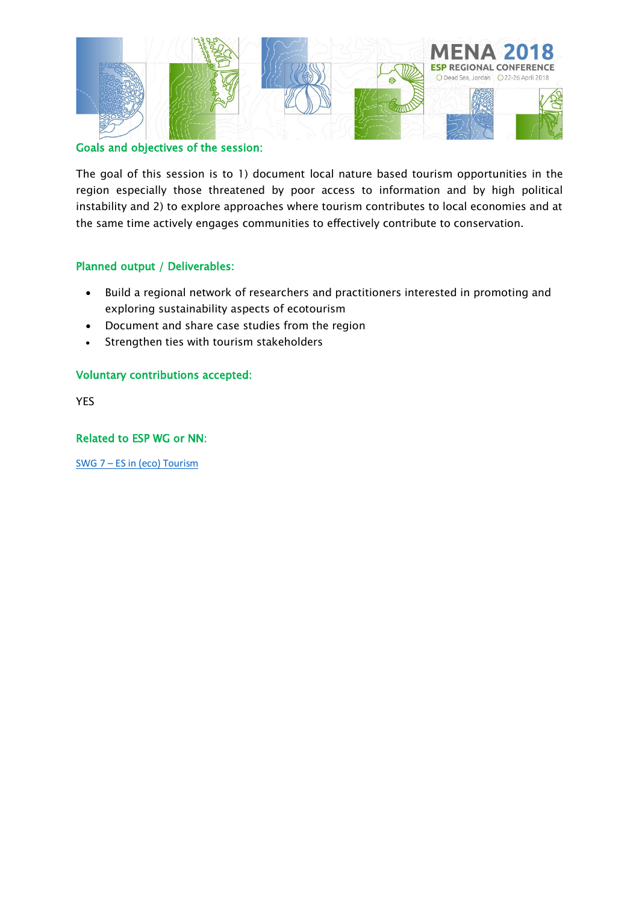

#### Goals and objectives of the session:

The goal of this session is to 1) document local nature based tourism opportunities in the region especially those threatened by poor access to information and by high political instability and 2) to explore approaches where tourism contributes to local economies and at the same time actively engages communities to effectively contribute to conservation.

### Planned output / Deliverables:

- Build a regional network of researchers and practitioners interested in promoting and exploring sustainability aspects of ecotourism
- Document and share case studies from the region
- Strengthen ties with tourism stakeholders

### Voluntary contributions accepted:

YES

### Related to ESP WG or NN:

SWG 7 – [ES in \(eco\)](https://www.es-partnership.org/community/workings-groups/sectoral-working-groups/swg-7-tourism/) Tourism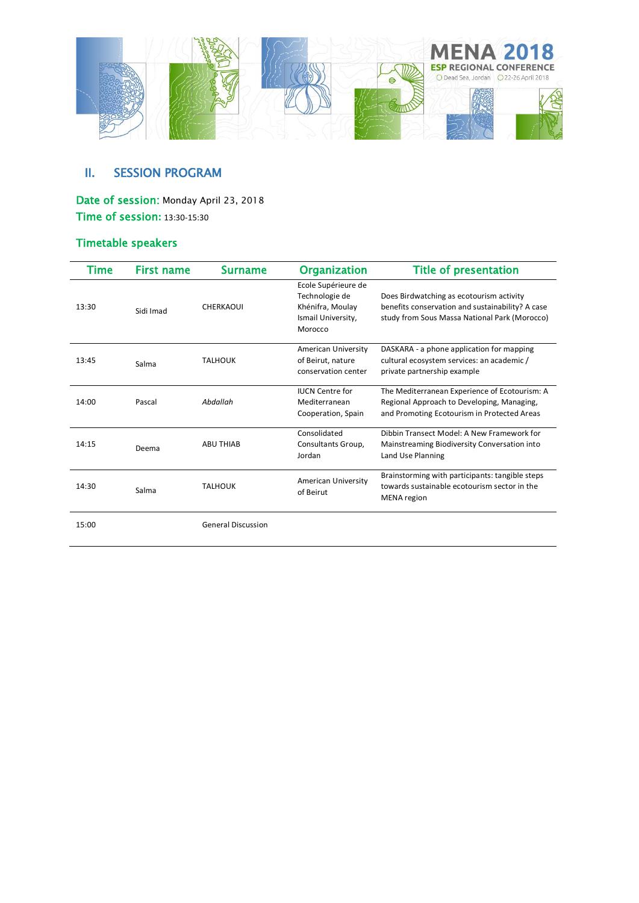

## II. SESSION PROGRAM

Date of session: Monday April 23, 2018 Time of session**:** 13:30-15:30

## Timetable speakers

| Time  | <b>First name</b> | Surname                   | <b>Organization</b>                                                                        | <b>Title of presentation</b>                                                                                                                  |
|-------|-------------------|---------------------------|--------------------------------------------------------------------------------------------|-----------------------------------------------------------------------------------------------------------------------------------------------|
| 13:30 | Sidi Imad         | CHERKAOUI                 | Ecole Supérieure de<br>Technologie de<br>Khénifra, Moulay<br>Ismail University,<br>Morocco | Does Birdwatching as ecotourism activity<br>benefits conservation and sustainability? A case<br>study from Sous Massa National Park (Morocco) |
| 13:45 | Salma             | <b>TALHOUK</b>            | American University<br>of Beirut, nature<br>conservation center                            | DASKARA - a phone application for mapping<br>cultural ecosystem services: an academic /<br>private partnership example                        |
| 14:00 | Pascal            | Abdallah                  | <b>IUCN Centre for</b><br>Mediterranean<br>Cooperation, Spain                              | The Mediterranean Experience of Ecotourism: A<br>Regional Approach to Developing, Managing,<br>and Promoting Ecotourism in Protected Areas    |
| 14:15 | Deema             | <b>ABU THIAB</b>          | Consolidated<br>Consultants Group,<br>Jordan                                               | Dibbin Transect Model: A New Framework for<br>Mainstreaming Biodiversity Conversation into<br>Land Use Planning                               |
| 14:30 | Salma             | <b>TALHOUK</b>            | American University<br>of Beirut                                                           | Brainstorming with participants: tangible steps<br>towards sustainable ecotourism sector in the<br>MENA region                                |
| 15:00 |                   | <b>General Discussion</b> |                                                                                            |                                                                                                                                               |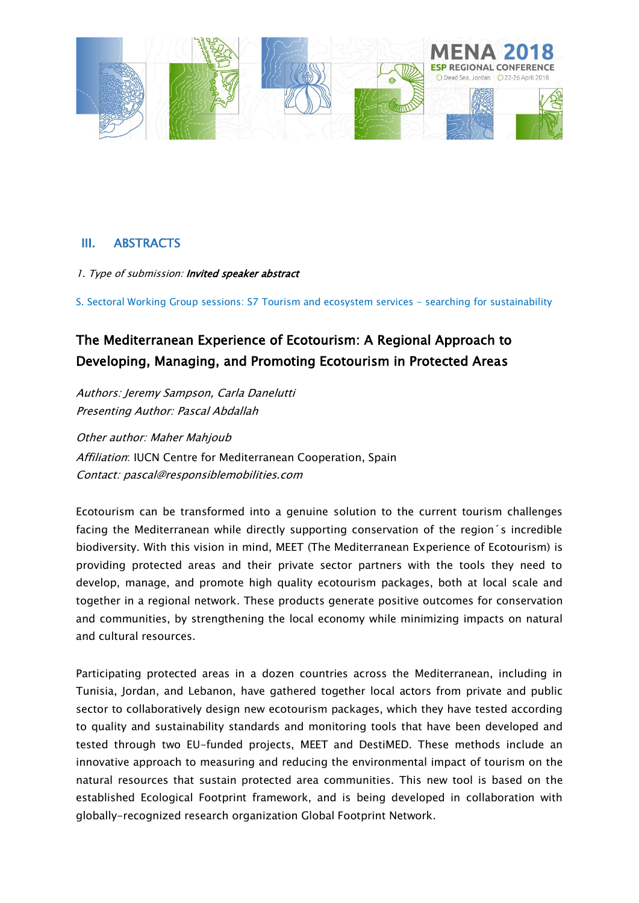

## III. ABSTRACTS

1. Type of submission: Invited speaker abstract

S. Sectoral Working Group sessions: S7 Tourism and ecosystem services - searching for sustainability

# The Mediterranean Experience of Ecotourism: A Regional Approach to Developing, Managing, and Promoting Ecotourism in Protected Areas

Authors: Jeremy Sampson, Carla Danelutti Presenting Author: Pascal Abdallah

Other author: Maher Mahjoub Affiliation: IUCN Centre for Mediterranean Cooperation, Spain Contact[: pascal@responsiblemobilities.com](mailto:pascal@responsiblemobilities.com)

Ecotourism can be transformed into a genuine solution to the current tourism challenges facing the Mediterranean while directly supporting conservation of the region´s incredible biodiversity. With this vision in mind, MEET (The Mediterranean Experience of Ecotourism) is providing protected areas and their private sector partners with the tools they need to develop, manage, and promote high quality ecotourism packages, both at local scale and together in a regional network. These products generate positive outcomes for conservation and communities, by strengthening the local economy while minimizing impacts on natural and cultural resources.

Participating protected areas in a dozen countries across the Mediterranean, including in Tunisia, Jordan, and Lebanon, have gathered together local actors from private and public sector to collaboratively design new ecotourism packages, which they have tested according to quality and sustainability standards and monitoring tools that have been developed and tested through two EU-funded projects, MEET and DestiMED. These methods include an innovative approach to measuring and reducing the environmental impact of tourism on the natural resources that sustain protected area communities. This new tool is based on the established Ecological Footprint framework, and is being developed in collaboration with globally-recognized research organization Global Footprint Network.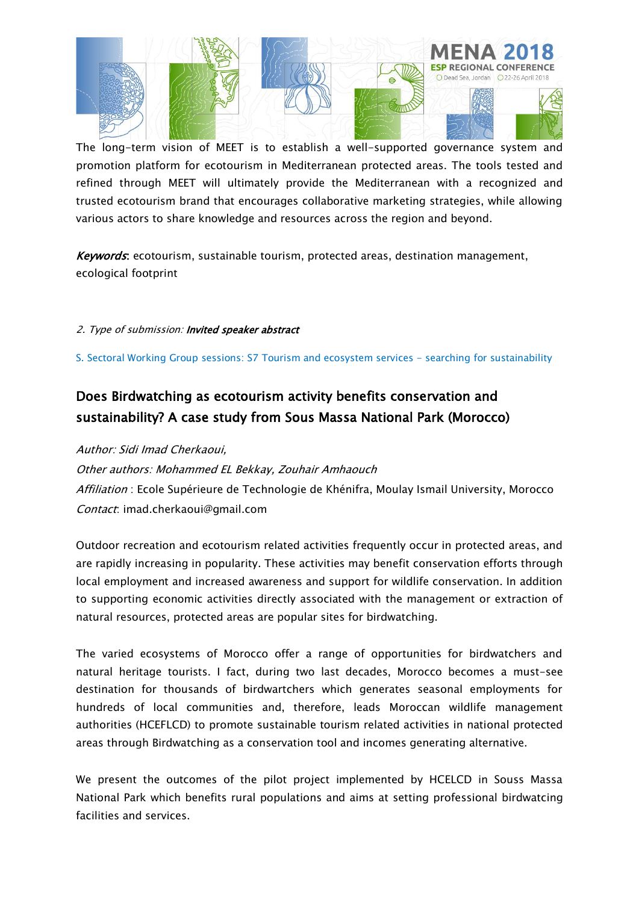

The long-term vision of MEET is to establish a well-supported governance system and promotion platform for ecotourism in Mediterranean protected areas. The tools tested and refined through MEET will ultimately provide the Mediterranean with a recognized and trusted ecotourism brand that encourages collaborative marketing strategies, while allowing various actors to share knowledge and resources across the region and beyond.

Keywords: ecotourism, sustainable tourism, protected areas, destination management, ecological footprint

### 2. Type of submission: Invited speaker abstract

S. Sectoral Working Group sessions: S7 Tourism and ecosystem services - searching for sustainability

# Does Birdwatching as ecotourism activity benefits conservation and sustainability? A case study from Sous Massa National Park (Morocco)

Author: Sidi Imad Cherkaoui,

Other authors: Mohammed EL Bekkay, Zouhair Amhaouch Affiliation : Ecole Supérieure de Technologie de Khénifra, Moulay Ismail University, Morocco

Contact: imad.cherkaoui@gmail.com

Outdoor recreation and ecotourism related activities frequently occur in protected areas, and are rapidly increasing in popularity. These activities may benefit conservation efforts through local employment and increased awareness and support for wildlife conservation. In addition to supporting economic activities directly associated with the management or extraction of natural resources, protected areas are popular sites for birdwatching.

The varied ecosystems of Morocco offer a range of opportunities for birdwatchers and natural heritage tourists. I fact, during two last decades, Morocco becomes a must-see destination for thousands of birdwartchers which generates seasonal employments for hundreds of local communities and, therefore, leads Moroccan wildlife management authorities (HCEFLCD) to promote sustainable tourism related activities in national protected areas through Birdwatching as a conservation tool and incomes generating alternative.

We present the outcomes of the pilot project implemented by HCELCD in Souss Massa National Park which benefits rural populations and aims at setting professional birdwatcing facilities and services.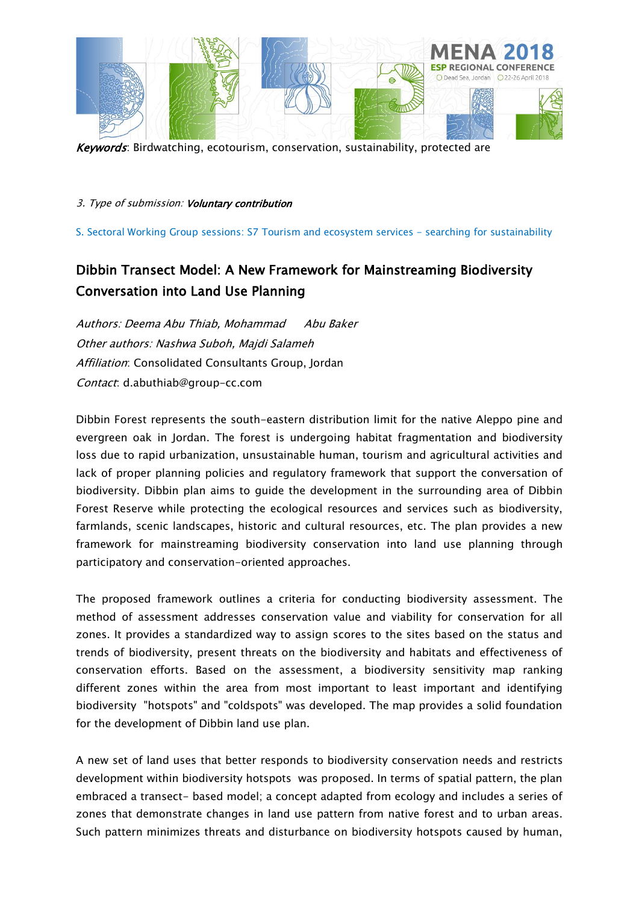

Keywords: Birdwatching, ecotourism, conservation, sustainability, protected are

3. Type of submission: Voluntary contribution

S. Sectoral Working Group sessions: S7 Tourism and ecosystem services - searching for sustainability

# Dibbin Transect Model: A New Framework for Mainstreaming Biodiversity Conversation into Land Use Planning

Authors: Deema Abu Thiab, Mohammad Abu Baker Other authors: Nashwa Suboh, Majdi Salameh Affiliation: Consolidated Consultants Group, Jordan Contact: d.abuthiab@group-cc.com

Dibbin Forest represents the south-eastern distribution limit for the native Aleppo pine and evergreen oak in Jordan. The forest is undergoing habitat fragmentation and biodiversity loss due to rapid urbanization, unsustainable human, tourism and agricultural activities and lack of proper planning policies and regulatory framework that support the conversation of biodiversity. Dibbin plan aims to guide the development in the surrounding area of Dibbin Forest Reserve while protecting the ecological resources and services such as biodiversity, farmlands, scenic landscapes, historic and cultural resources, etc. The plan provides a new framework for mainstreaming biodiversity conservation into land use planning through participatory and conservation-oriented approaches.

The proposed framework outlines a criteria for conducting biodiversity assessment. The method of assessment addresses conservation value and viability for conservation for all zones. It provides a standardized way to assign scores to the sites based on the status and trends of biodiversity, present threats on the biodiversity and habitats and effectiveness of conservation efforts. Based on the assessment, a biodiversity sensitivity map ranking different zones within the area from most important to least important and identifying biodiversity "hotspots" and "coldspots" was developed. The map provides a solid foundation for the development of Dibbin land use plan.

A new set of land uses that better responds to biodiversity conservation needs and restricts development within biodiversity hotspots was proposed. In terms of spatial pattern, the plan embraced a transect- based model; a concept adapted from ecology and includes a series of zones that demonstrate changes in land use pattern from native forest and to urban areas. Such pattern minimizes threats and disturbance on biodiversity hotspots caused by human,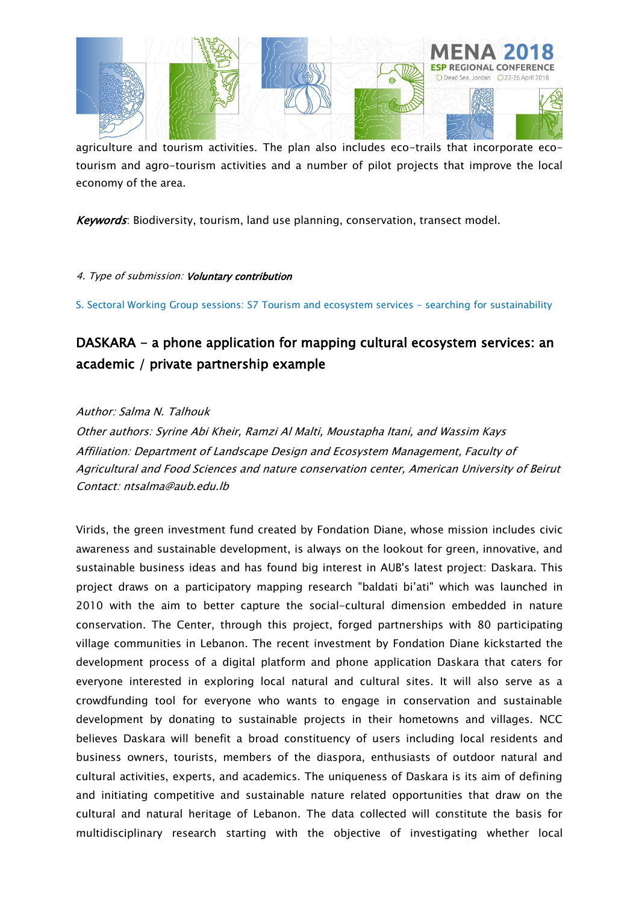

agriculture and tourism activities. The plan also includes eco-trails that incorporate ecotourism and agro-tourism activities and a number of pilot projects that improve the local economy of the area.

Keywords: Biodiversity, tourism, land use planning, conservation, transect model.

### 4. Type of submission: Voluntary contribution

S. Sectoral Working Group sessions: S7 Tourism and ecosystem services - searching for sustainability

# DASKARA - a phone application for mapping cultural ecosystem services: an academic / private partnership example

### Author: Salma N. Talhouk

Other authors: Syrine Abi Kheir, Ramzi Al Malti, Moustapha Itani, and Wassim Kays Affiliation: Department of Landscape Design and Ecosystem Management, Faculty of Agricultural and Food Sciences and nature conservation center, American University of Beirut Contact: ntsalma@aub.edu.lb

Virids, the green investment fund created by Fondation Diane, whose mission includes civic awareness and sustainable development, is always on the lookout for green, innovative, and sustainable business ideas and has found big interest in AUB's latest project: Daskara. This project draws on a participatory mapping research "baldati bi'ati" which was launched in 2010 with the aim to better capture the social-cultural dimension embedded in nature conservation. The Center, through this project, forged partnerships with 80 participating village communities in Lebanon. The recent investment by Fondation Diane kickstarted the development process of a digital platform and phone application Daskara that caters for everyone interested in exploring local natural and cultural sites. It will also serve as a crowdfunding tool for everyone who wants to engage in conservation and sustainable development by donating to sustainable projects in their hometowns and villages. NCC believes Daskara will benefit a broad constituency of users including local residents and business owners, tourists, members of the diaspora, enthusiasts of outdoor natural and cultural activities, experts, and academics. The uniqueness of Daskara is its aim of defining and initiating competitive and sustainable nature related opportunities that draw on the cultural and natural heritage of Lebanon. The data collected will constitute the basis for multidisciplinary research starting with the objective of investigating whether local